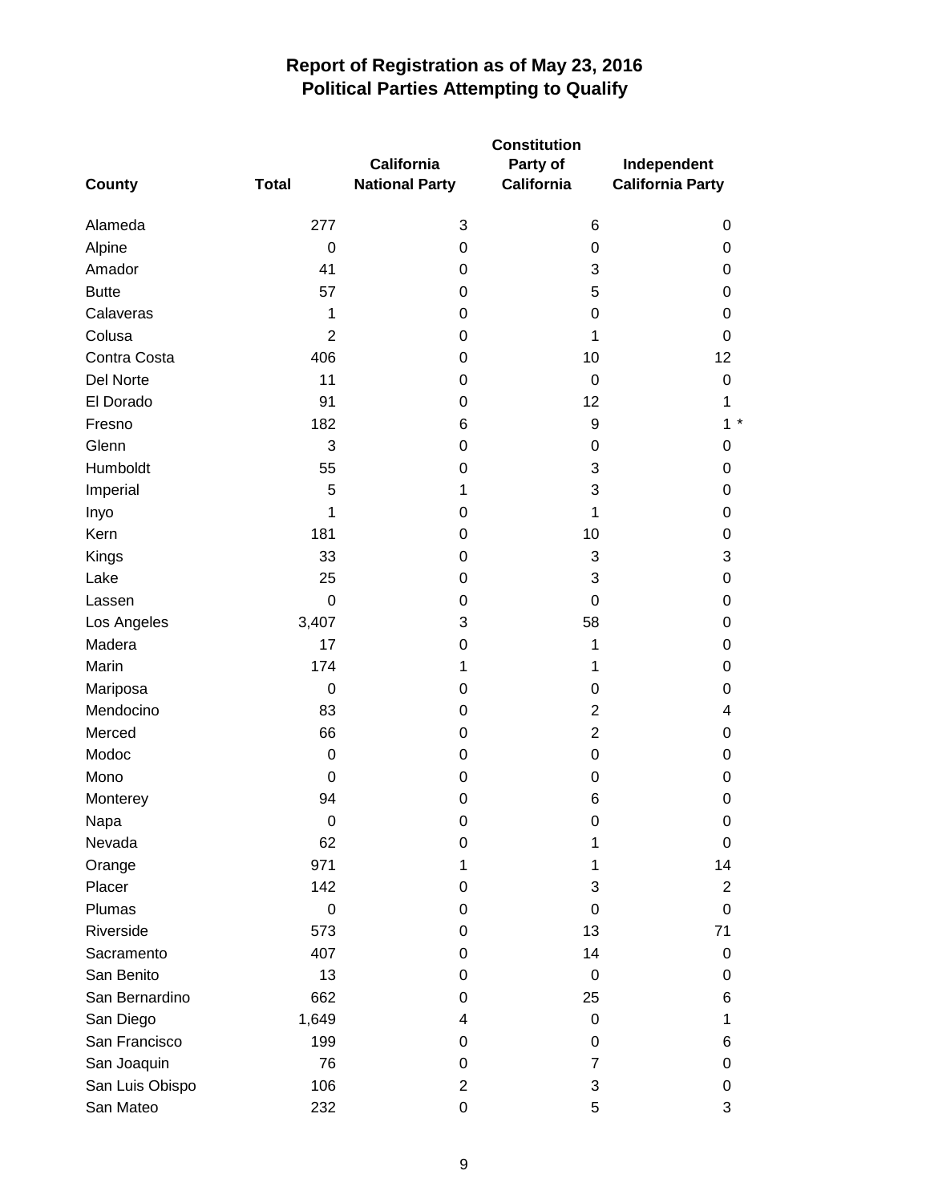| County          | <b>Total</b>     | California<br><b>National Party</b> | <b>Constitution</b><br>Party of<br><b>California</b> | Independent<br><b>California Party</b> |
|-----------------|------------------|-------------------------------------|------------------------------------------------------|----------------------------------------|
| Alameda         | 277              | 3                                   | 6                                                    | 0                                      |
| Alpine          | $\mathbf 0$      | 0                                   | 0                                                    | 0                                      |
| Amador          | 41               | 0                                   | 3                                                    | 0                                      |
| <b>Butte</b>    | 57               | 0                                   | 5                                                    | 0                                      |
| Calaveras       | 1                | 0                                   | 0                                                    | 0                                      |
| Colusa          | $\overline{2}$   | 0                                   | 1                                                    | 0                                      |
| Contra Costa    | 406              | 0                                   | 10                                                   | 12                                     |
| Del Norte       | 11               | 0                                   | 0                                                    | 0                                      |
| El Dorado       | 91               | 0                                   | 12                                                   | 1                                      |
| Fresno          | 182              | 6                                   | 9                                                    | $1*$                                   |
| Glenn           | 3                | 0                                   | 0                                                    | 0                                      |
| Humboldt        | 55               | 0                                   | 3                                                    | 0                                      |
| Imperial        | 5                | 1                                   | 3                                                    | 0                                      |
| Inyo            | 1                | 0                                   | 1                                                    | 0                                      |
| Kern            | 181              | 0                                   | 10                                                   | 0                                      |
| Kings           | 33               | 0                                   | 3                                                    | 3                                      |
| Lake            | 25               | 0                                   | 3                                                    | 0                                      |
| Lassen          | $\mathbf 0$      | 0                                   | $\boldsymbol{0}$                                     | 0                                      |
| Los Angeles     | 3,407            | 3                                   | 58                                                   | 0                                      |
| Madera          | 17               | 0                                   | 1                                                    | 0                                      |
| Marin           | 174              | 1                                   | 1                                                    | 0                                      |
| Mariposa        | $\mathbf 0$      | 0                                   | 0                                                    | 0                                      |
| Mendocino       | 83               | 0                                   | $\overline{2}$                                       | 4                                      |
| Merced          | 66               | 0                                   | $\overline{2}$                                       | 0                                      |
| Modoc           | $\mathbf 0$      | 0                                   | $\mathbf 0$                                          | 0                                      |
| Mono            | 0                | 0                                   | 0                                                    | 0                                      |
| Monterey        | 94               | 0                                   | 6                                                    | 0                                      |
| Napa            | $\boldsymbol{0}$ | 0                                   | 0                                                    | 0                                      |
| Nevada          | 62               | 0                                   | 1                                                    | 0                                      |
| Orange          | 971              | 1                                   | 1                                                    | 14                                     |
| Placer          | 142              | 0                                   | 3                                                    | $\overline{c}$                         |
| Plumas          | $\mathbf 0$      | 0                                   | 0                                                    | 0                                      |
| Riverside       | 573              | 0                                   | 13                                                   | 71                                     |
| Sacramento      | 407              | 0                                   | 14                                                   | 0                                      |
| San Benito      | 13               | 0                                   | 0                                                    | 0                                      |
| San Bernardino  | 662              | 0                                   | 25                                                   | 6                                      |
| San Diego       | 1,649            | 4                                   | $\boldsymbol{0}$                                     | 1                                      |
| San Francisco   | 199              | 0                                   | 0                                                    | 6                                      |
| San Joaquin     | 76               | 0                                   | $\overline{7}$                                       | 0                                      |
| San Luis Obispo | 106              | $\overline{2}$                      | 3                                                    | 0                                      |
| San Mateo       | 232              | 0                                   | 5                                                    | 3                                      |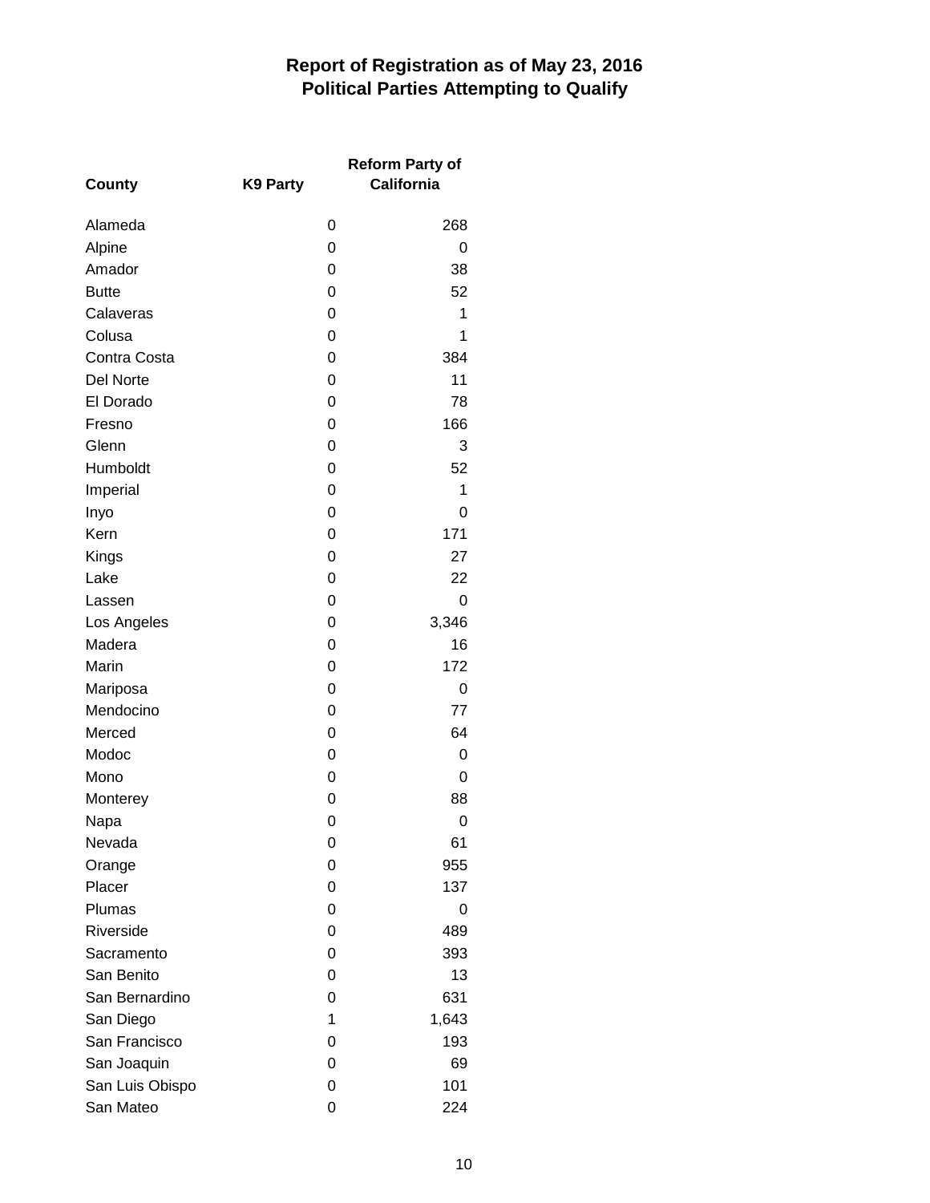|                  |                 | <b>Reform Party of</b> |
|------------------|-----------------|------------------------|
| County           | <b>K9 Party</b> | <b>California</b>      |
| Alameda          | 0               | 268                    |
| Alpine           | 0               | 0                      |
| Amador           | 0               | 38                     |
| <b>Butte</b>     | 0               | 52                     |
| Calaveras        | 0               | 1                      |
| Colusa           | 0               | 1                      |
| Contra Costa     | 0               | 384                    |
| <b>Del Norte</b> | 0               | 11                     |
| El Dorado        | 0               | 78                     |
| Fresno           | 0               | 166                    |
| Glenn            | 0               | 3                      |
| Humboldt         | 0               | 52                     |
| Imperial         | 0               | 1                      |
| Inyo             | 0               | 0                      |
| Kern             | 0               | 171                    |
| Kings            | 0               | 27                     |
| Lake             | 0               | 22                     |
| Lassen           | 0               | 0                      |
| Los Angeles      | 0               | 3,346                  |
| Madera           | 0               | 16                     |
| Marin            | 0               | 172                    |
| Mariposa         | 0               | 0                      |
| Mendocino        | 0               | 77                     |
| Merced           | 0               | 64                     |
| Modoc            | 0               | 0                      |
| Mono             | 0               | 0                      |
| Monterey         | 0               | 88                     |
| Napa             | 0               | 0                      |
| Nevada           | 0               | 61                     |
| Orange           | 0               | 955                    |
| Placer           | 0               | 137                    |
| Plumas           | 0               | 0                      |
| Riverside        | 0               | 489                    |
| Sacramento       | 0               | 393                    |
| San Benito       | 0               | 13                     |
| San Bernardino   | 0               | 631                    |
| San Diego        | 1               | 1,643                  |
| San Francisco    | 0               | 193                    |
| San Joaquin      | 0               | 69                     |
| San Luis Obispo  | 0               | 101                    |
| San Mateo        | 0               | 224                    |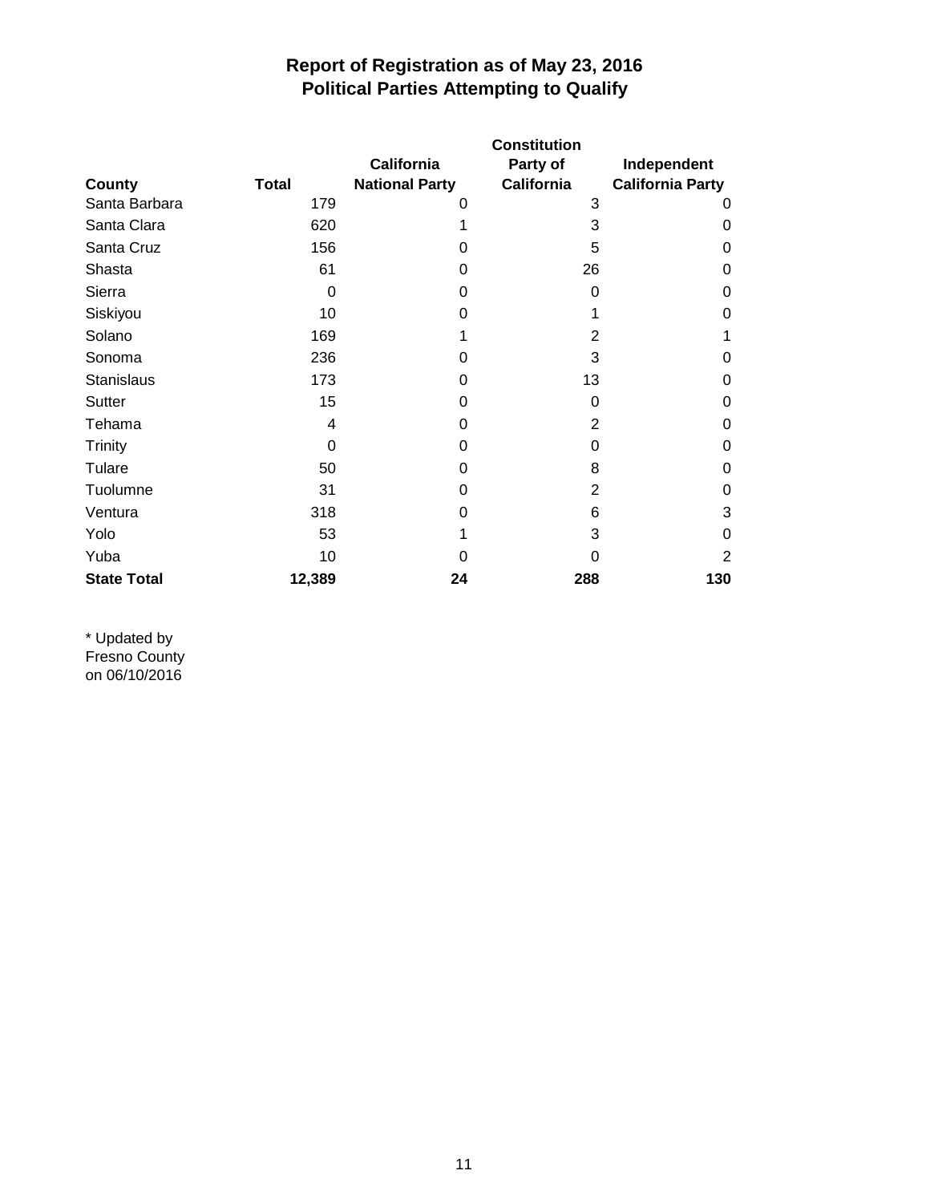|                    |              | <b>Constitution</b>   |                   |                         |  |  |
|--------------------|--------------|-----------------------|-------------------|-------------------------|--|--|
|                    |              | <b>California</b>     | Party of          | Independent             |  |  |
| County             | <b>Total</b> | <b>National Party</b> | <b>California</b> | <b>California Party</b> |  |  |
| Santa Barbara      | 179          | 0                     | 3                 | 0                       |  |  |
| Santa Clara        | 620          |                       | 3                 | 0                       |  |  |
| Santa Cruz         | 156          | 0                     | 5                 | 0                       |  |  |
| Shasta             | 61           | 0                     | 26                | 0                       |  |  |
| Sierra             | $\Omega$     | 0                     | 0                 | 0                       |  |  |
| Siskiyou           | 10           | 0                     | 1                 | 0                       |  |  |
| Solano             | 169          |                       | $\overline{2}$    | 1                       |  |  |
| Sonoma             | 236          | 0                     | 3                 | 0                       |  |  |
| <b>Stanislaus</b>  | 173          | 0                     | 13                | 0                       |  |  |
| Sutter             | 15           | 0                     | 0                 | 0                       |  |  |
| Tehama             | 4            | 0                     | $\overline{2}$    | 0                       |  |  |
| <b>Trinity</b>     | 0            | 0                     | 0                 | 0                       |  |  |
| Tulare             | 50           | 0                     | 8                 | 0                       |  |  |
| Tuolumne           | 31           | 0                     | 2                 | 0                       |  |  |
| Ventura            | 318          | 0                     | 6                 | 3                       |  |  |
| Yolo               | 53           |                       | 3                 | 0                       |  |  |
| Yuba               | 10           | 0                     | 0                 | 2                       |  |  |
| <b>State Total</b> | 12,389       | 24                    | 288               | 130                     |  |  |

\* Updated by Fresno County on 06/10/2016